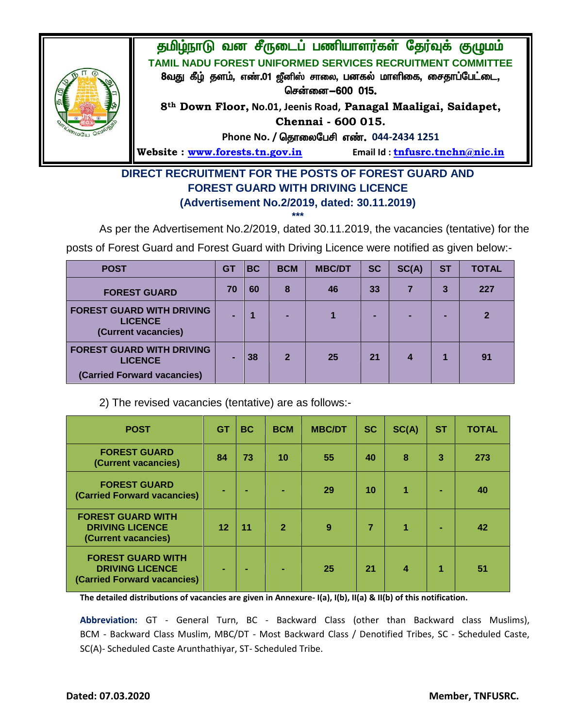

## **DIRECT RECRUITMENT FOR THE POSTS OF FOREST GUARD AND FOREST GUARD WITH DRIVING LICENCE (Advertisement No.2/2019, dated: 30.11.2019)**

**\*\*\***

As per the Advertisement No.2/2019, dated 30.11.2019, the vacancies (tentative) for the

posts of Forest Guard and Forest Guard with Driving Licence were notified as given below:-

| <b>POST</b>                                                                       | G1 | BC | <b>BCM</b>     | <b>MBC/DT</b> | <b>SC</b> | SC(A) | <b>ST</b> | <b>TOTAL</b> |
|-----------------------------------------------------------------------------------|----|----|----------------|---------------|-----------|-------|-----------|--------------|
| <b>FOREST GUARD</b>                                                               | 70 | 60 | 8              | 46            | 33        |       | 3         | 227          |
| <b>FOREST GUARD WITH DRIVING</b><br><b>LICENCE</b><br>(Current vacancies)         |    |    |                |               |           |       |           |              |
| <b>FOREST GUARD WITH DRIVING</b><br><b>LICENCE</b><br>(Carried Forward vacancies) |    | 38 | $\overline{2}$ | 25            | 21        |       |           | 91           |

2) The revised vacancies (tentative) are as follows:-

| <b>POST</b>                                                                       | <b>GT</b> | <b>BC</b> | <b>BCM</b>     | <b>MBC/DT</b> | <b>SC</b> | SC(A) | <b>ST</b> | <b>TOTAL</b> |
|-----------------------------------------------------------------------------------|-----------|-----------|----------------|---------------|-----------|-------|-----------|--------------|
| <b>FOREST GUARD</b><br>(Current vacancies)                                        | 84        | 73        | 10             | 55            | 40        | 8     | 3         | 273          |
| <b>FOREST GUARD</b><br>(Carried Forward vacancies)                                | ٠         |           | ۰              | 29            | 10        |       |           | 40           |
| <b>FOREST GUARD WITH</b><br><b>DRIVING LICENCE</b><br>(Current vacancies)         | 12        | 11        | $\overline{2}$ | 9             |           |       |           | 42           |
| <b>FOREST GUARD WITH</b><br><b>DRIVING LICENCE</b><br>(Carried Forward vacancies) | ۰         | ÷         | ۰              | 25            | 21        | 4     |           | 51           |

**The detailed distributions of vacancies are given in Annexure- I(a), I(b), II(a) & II(b) of this notification.** 

**Abbreviation:** GT - General Turn, BC - Backward Class (other than Backward class Muslims), BCM - Backward Class Muslim, MBC/DT - Most Backward Class / Denotified Tribes, SC - Scheduled Caste, SC(A)- Scheduled Caste Arunthathiyar, ST- Scheduled Tribe.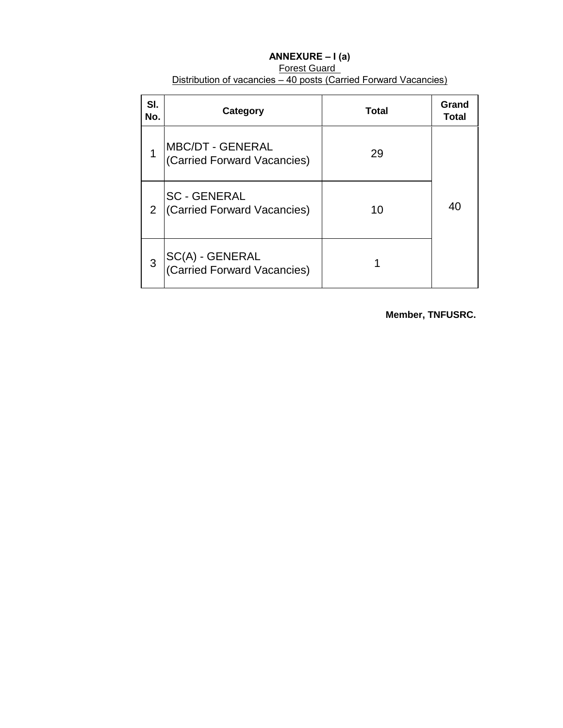| ANNEXURE $-I(a)$                                                 |
|------------------------------------------------------------------|
| Forest Guard                                                     |
| Distribution of vacancies – 40 posts (Carried Forward Vacancies) |

| SI.<br>No. | Category                                               | <b>Total</b> | Grand<br><b>Total</b> |
|------------|--------------------------------------------------------|--------------|-----------------------|
| 1          | <b>MBC/DT - GENERAL</b><br>(Carried Forward Vacancies) | 29           |                       |
| 2          | <b>SC - GENERAL</b><br>(Carried Forward Vacancies)     | 10           | 40                    |
| 3          | SC(A) - GENERAL<br>(Carried Forward Vacancies)         |              |                       |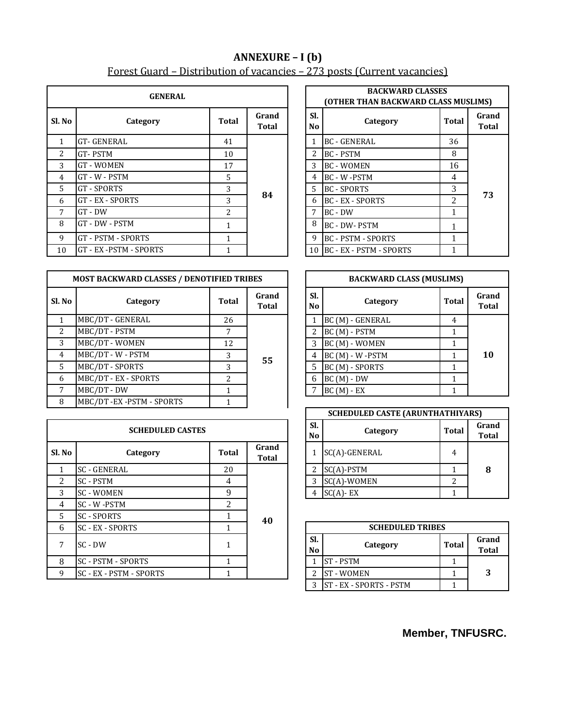## **ANNEXURE – I (b)** Forest Guard – Distribution of vacancies – 273 posts (Current vacancies)

|                | <b>GENERAL</b>         | <b>BACKWARD CLASSES</b><br><b>(OTHER THAN BACKWARD CLASS M</b> |                |  |                       |                           |                |
|----------------|------------------------|----------------------------------------------------------------|----------------|--|-----------------------|---------------------------|----------------|
| Sl. No         | Category               | Total                                                          | Grand<br>Total |  | SI.<br>N <sub>0</sub> | Category                  | Tota           |
| 1              | <b>GT-GENERAL</b>      | 41                                                             |                |  |                       | <b>BC - GENERAL</b>       | 36             |
| $\overline{2}$ | GT-PSTM                | 10                                                             |                |  | 2                     | <b>BC - PSTM</b>          | 8              |
| 3              | <b>GT-WOMEN</b>        | 17                                                             |                |  | 3                     | <b>BC - WOMEN</b>         | 16             |
| $\overline{4}$ | GT - W - PSTM          | 5                                                              |                |  | 4                     | BC - W -PSTM              | $\overline{4}$ |
| 5.             | <b>GT-SPORTS</b>       | 3                                                              |                |  | 5.                    | <b>BC - SPORTS</b>        | 3              |
| 6              | GT - EX - SPORTS       | 3                                                              | 84             |  | 6                     | <b>BC - EX - SPORTS</b>   | 2              |
| 7              | $GT - DW$              | $\overline{a}$                                                 |                |  | 7                     | $BC - DW$                 |                |
| 8              | GT - DW - PSTM         | 1                                                              |                |  | 8                     | <b>BC - DW-PSTM</b>       |                |
| 9              | GT - PSTM - SPORTS     |                                                                |                |  | 9                     | <b>BC - PSTM - SPORTS</b> |                |
| 10             | GT - EX -PSTM - SPORTS |                                                                |                |  | 10                    | BC - EX - PSTM - SPORTS   |                |

| <b>MOST BACKWARD CLASSES / DENOTIFIED TRIBES</b> |                       |                |                       |  |                       | <b>BACKWARD CLASS (MUSLIMS)</b> |       |
|--------------------------------------------------|-----------------------|----------------|-----------------------|--|-----------------------|---------------------------------|-------|
| Sl. No                                           | Category              | Total          | Grand<br><b>Total</b> |  | SI.<br>N <sub>0</sub> | Category                        | Total |
|                                                  | MBC/DT - GENERAL      | 26             |                       |  |                       | BC (M) - GENERAL                | 4     |
| $\overline{2}$                                   | MBC/DT - PSTM         | 7              |                       |  | $\overline{2}$        | BC (M) - PSTM                   |       |
| 3                                                | MBC/DT - WOMEN        | 12             |                       |  | 3                     | BC (M) - WOMEN                  |       |
| 4                                                | MBC/DT - W - PSTM     | 3              | 55                    |  |                       | 4 BC (M) - W -PSTM              |       |
| $\overline{5}$                                   | MBC/DT - SPORTS       | 3              |                       |  | 5                     | BC (M) - SPORTS                 |       |
| 6                                                | MBC/DT - EX - SPORTS  | $\mathfrak{D}$ |                       |  | 6                     | $BC(M) - DW$                    |       |
|                                                  | MBC/DT - DW           |                |                       |  |                       | $BC(M) - EX$                    |       |
| 8                                                | MBC/DT-EX-PSTM-SPORTS |                |                       |  |                       |                                 |       |

|                | <b>SCHEDULED CASTES</b> | SI.<br>N <sub>o</sub> | Category              | <b>Tot</b>            |                         |            |
|----------------|-------------------------|-----------------------|-----------------------|-----------------------|-------------------------|------------|
| Sl. No         | Category                | Total                 | Grand<br><b>Total</b> |                       | SC(A)-GENERAL           | 4          |
|                | <b>SC - GENERAL</b>     | 20                    |                       | $\overline{2}$        | $SC(A)$ -PSTM           | 1          |
| $\mathfrak{D}$ | <b>SC-PSTM</b>          | 4                     |                       | 3                     | SC(A)-WOMEN             | 2          |
| 3              | <b>SC-WOMEN</b>         | 9                     |                       | 4                     | $SC(A)$ - EX            | 1          |
| 4              | SC - W -PSTM            | $\mathfrak{D}$        |                       |                       |                         |            |
| 5              | <b>SC-SPORTS</b>        |                       | 40                    |                       |                         |            |
| 6              | <b>SC - EX - SPORTS</b> |                       |                       |                       | <b>SCHEDULED TRIBES</b> |            |
| 7              | SC - DW                 | 1                     |                       | SI.<br>N <sub>0</sub> | Category                | <b>Tot</b> |
| 8              | SC - PSTM - SPORTS      | 1                     |                       |                       | <b>ST-PSTM</b>          | 1          |
| 9              | SC - EX - PSTM - SPORTS |                       |                       | 2.                    | <b>ST-WOMEN</b>         | 1          |

| GENERAL                               |    |                       |              | <b>BACKWARD CLASSES</b><br>(OTHER THAN BACKWARD CLASS MUSLIMS) |                       |    |  |  |  |  |
|---------------------------------------|----|-----------------------|--------------|----------------------------------------------------------------|-----------------------|----|--|--|--|--|
| Grand<br><b>Total</b><br>)ry<br>Total |    | Sl.<br>N <sub>0</sub> | Category     | <b>Total</b>                                                   | Grand<br><b>Total</b> |    |  |  |  |  |
|                                       | 41 |                       | $\mathbf{1}$ | <b>BC - GENERAL</b>                                            | 36                    |    |  |  |  |  |
|                                       | 10 |                       | 2            | <b>BC - PSTM</b>                                               | 8                     |    |  |  |  |  |
|                                       | 17 |                       | 3            | <b>BC - WOMEN</b>                                              | 16                    |    |  |  |  |  |
|                                       | 5  |                       | 4            | BC - W -PSTM                                                   | 4                     |    |  |  |  |  |
|                                       | 3  |                       | 5            | <b>BC - SPORTS</b>                                             | 3                     |    |  |  |  |  |
|                                       | 3  | 84                    | 6            | <b>BC - EX - SPORTS</b>                                        | $\mathfrak{D}$        | 73 |  |  |  |  |
|                                       | 2  |                       | 7            | BC - DW                                                        |                       |    |  |  |  |  |
|                                       | 1  |                       | 8            | <b>BC - DW-PSTM</b>                                            |                       |    |  |  |  |  |
|                                       |    |                       | 9            | <b>BC - PSTM - SPORTS</b>                                      |                       |    |  |  |  |  |
| <b>RTS</b>                            |    |                       |              | 10 BC - EX - PSTM - SPORTS                                     |                       |    |  |  |  |  |

|               |  |                       | <b>BACKWARD CLASS (MUSLIMS)</b> |                  |                       |    |   |                |   |  |  |
|---------------|--|-----------------------|---------------------------------|------------------|-----------------------|----|---|----------------|---|--|--|
| rand<br>'otal |  | Sl.<br>N <sub>0</sub> | Category                        | <b>Total</b>     | Grand<br><b>Total</b> |    |   |                |   |  |  |
|               |  | 1                     | BC (M) - GENERAL                | 4                |                       |    |   |                |   |  |  |
|               |  |                       |                                 | 2                | BC (M) - PSTM         |    |   |                |   |  |  |
|               |  |                       |                                 |                  |                       |    | 3 | BC (M) - WOMEN | 1 |  |  |
| 55            |  |                       | 4                               | BC (M) - W -PSTM |                       | 10 |   |                |   |  |  |
|               |  | 5                     | BC (M) - SPORTS                 | 1                |                       |    |   |                |   |  |  |
|               |  | 6                     | $BC(M) - DW$                    |                  |                       |    |   |                |   |  |  |
|               |  |                       | $BC(M) - EX$                    |                  |                       |    |   |                |   |  |  |

|                |                       | <b>SCHEDULED CASTE (ARUNTHATHIYARS)</b> |              |                       |
|----------------|-----------------------|-----------------------------------------|--------------|-----------------------|
|                | Sl.<br>N <sub>0</sub> | Category                                | <b>Total</b> | Grand<br><b>Total</b> |
| Grand<br>Total |                       | SC(A)-GENERAL                           | 4            |                       |
|                |                       | $SC(A)$ -PSTM                           |              | 8                     |
|                | 3                     | SC(A)-WOMEN                             | 2            |                       |
|                |                       | $SC(A)$ - EX                            |              |                       |

|           | <b>SCHEDULED TRIBES</b>        |              |                       |  |  |  |  |  |  |  |
|-----------|--------------------------------|--------------|-----------------------|--|--|--|--|--|--|--|
| Sl.<br>No | Category                       | <b>Total</b> | Grand<br><b>Total</b> |  |  |  |  |  |  |  |
|           | <b>ST-PSTM</b>                 |              |                       |  |  |  |  |  |  |  |
|           | <b>ST-WOMEN</b>                |              | 3                     |  |  |  |  |  |  |  |
| ς         | <b>ST - EX - SPORTS - PSTM</b> |              |                       |  |  |  |  |  |  |  |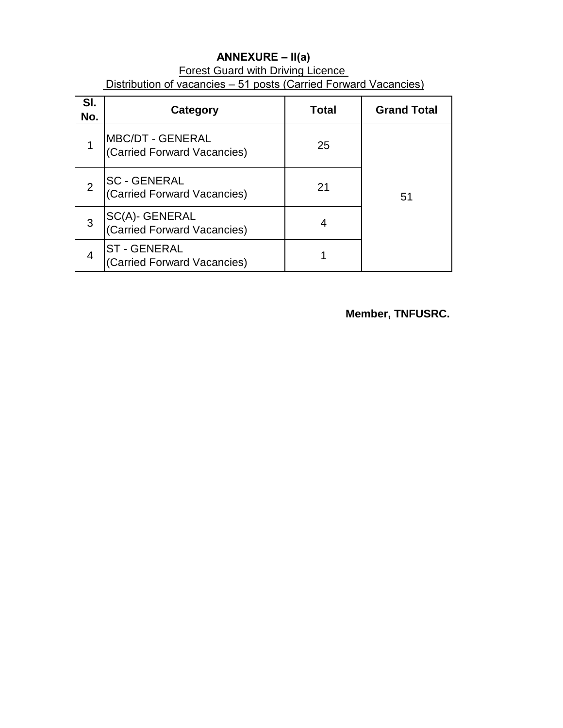## **ANNEXURE – II(a) Forest Guard with Driving Licence** Distribution of vacancies – 51 posts (Carried Forward Vacancies)

| SI.<br>No. | Category                                               | <b>Total</b> | <b>Grand Total</b> |
|------------|--------------------------------------------------------|--------------|--------------------|
|            | <b>MBC/DT - GENERAL</b><br>(Carried Forward Vacancies) | 25           |                    |
| 2          | <b>SC - GENERAL</b><br>(Carried Forward Vacancies)     | 21           | 51                 |
| 3          | SC(A)- GENERAL<br>(Carried Forward Vacancies)          |              |                    |
|            | <b>ST-GENERAL</b><br>(Carried Forward Vacancies)       |              |                    |